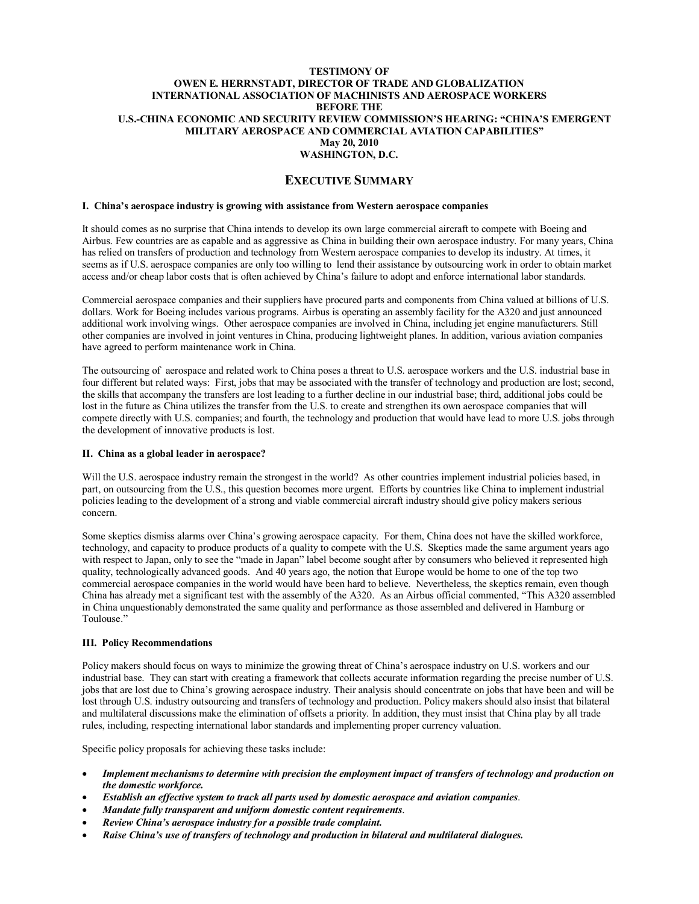#### **TESTIMONY OF OWEN E. HERRNSTADT, DIRECTOR OF TRADE AND GLOBALIZATION INTERNATIONAL ASSOCIATION OF MACHINISTS AND AEROSPACE WORKERS BEFORE THE U.S.CHINA ECONOMIC AND SECURITY REVIEW COMMISSION'S HEARING: "CHINA'S EMERGENT MILITARY AEROSPACE AND COMMERCIAL AVIATION CAPABILITIES" May 20, 2010 WASHINGTON, D.C.**

### **EXECUTIVE SUMMARY**

#### **I. China's aerospace industry is growing with assistance from Western aerospace companies**

It should comes as no surprise that China intends to develop its own large commercial aircraft to compete with Boeing and Airbus. Few countries are as capable and as aggressive as China in building their own aerospace industry. For many years, China has relied on transfers of production and technology from Western aerospace companies to develop its industry. At times, it seems as if U.S. aerospace companies are only too willing to lend their assistance by outsourcing work in order to obtain market access and/or cheap labor costs that is often achieved by China's failure to adopt and enforce international labor standards.

Commercial aerospace companies and their suppliers have procured parts and components from China valued at billions of U.S. dollars. Work for Boeing includes various programs. Airbus is operating an assembly facility for the A320 and just announced additional work involving wings. Other aerospace companies are involved in China, including jet engine manufacturers. Still other companies are involved in joint ventures in China, producing lightweight planes. In addition, various aviation companies have agreed to perform maintenance work in China.

The outsourcing of aerospace and related work to China poses a threat to U.S. aerospace workers and the U.S. industrial base in four different but related ways: First, jobs that may be associated with the transfer of technology and production are lost; second, the skills that accompany the transfers are lost leading to a further decline in our industrial base; third, additional jobs could be lost in the future as China utilizes the transfer from the U.S. to create and strengthen its own aerospace companies that will compete directly with U.S. companies; and fourth, the technology and production that would have lead to more U.S. jobs through the development of innovative products is lost.

### **II. China as a global leader in aerospace?**

Will the U.S. aerospace industry remain the strongest in the world? As other countries implement industrial policies based, in part, on outsourcing from the U.S., this question becomes more urgent. Efforts by countries like China to implement industrial policies leading to the development of a strong and viable commercial aircraft industry should give policy makers serious concern.

Some skeptics dismiss alarms over China's growing aerospace capacity. For them, China does not have the skilled workforce, technology, and capacity to produce products of a quality to compete with the U.S. Skeptics made the same argument years ago with respect to Japan, only to see the "made in Japan" label become sought after by consumers who believed it represented high quality, technologically advanced goods. And 40 years ago, the notion that Europe would be home to one of the top two commercial aerospace companies in the world would have been hard to believe. Nevertheless, the skeptics remain, even though China has already met a significant test with the assembly of the A320. As an Airbus official commented, "This A320 assembled in China unquestionably demonstrated the same quality and performance as those assembled and delivered in Hamburg or Toulouse."

#### **III. Policy Recommendations**

Policy makers should focus on ways to minimize the growing threat of China's aerospace industry on U.S. workers and our industrial base. They can start with creating a framework that collects accurate information regarding the precise number of U.S. jobs that are lost due to China's growing aerospace industry. Their analysis should concentrate on jobs that have been and will be lost through U.S. industry outsourcing and transfers of technology and production. Policy makers should also insist that bilateral and multilateral discussions make the elimination of offsets a priority. In addition, they must insist that China play by all trade rules, including, respecting international labor standards and implementing proper currency valuation.

Specific policy proposals for achieving these tasks include:

- · *Implement mechanisms to determine with precision the employment impact of transfers of technology and production on the domestic workforce.*
- · *Establish an effective system to track all parts used by domestic aerospace and aviation companies*.
- · *Mandate fully transparent and uniform domestic content requirements*.
- · *Review China's aerospace industry for a possible trade complaint.*
- · *Raise China's use of transfers of technology and production in bilateral and multilateral dialogues.*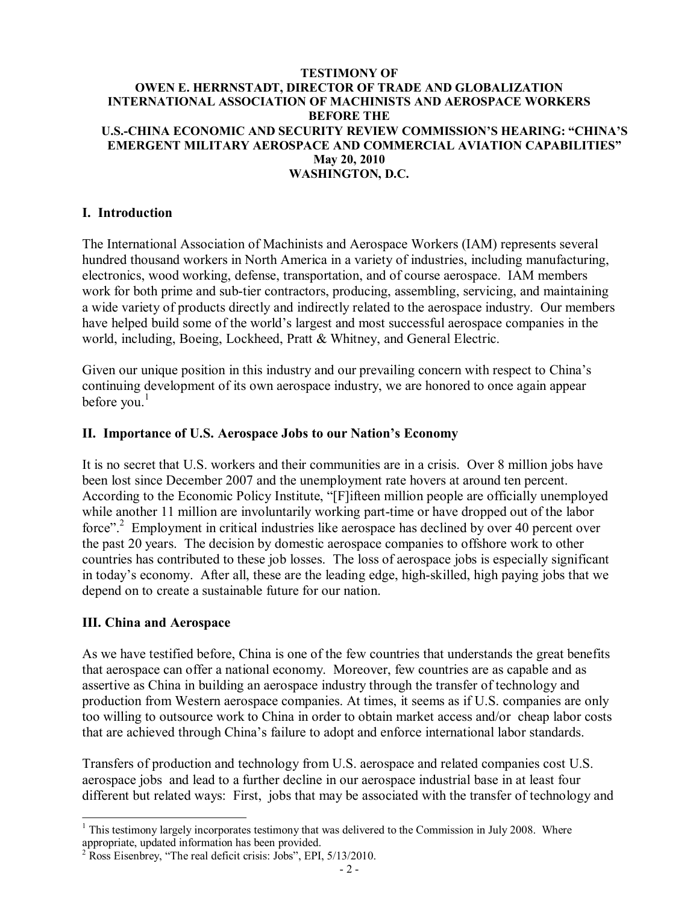### **TESTIMONY OF OWEN E. HERRNSTADT, DIRECTOR OF TRADE AND GLOBALIZATION INTERNATIONAL ASSOCIATION OF MACHINISTS AND AEROSPACE WORKERS BEFORE THE U.S.CHINA ECONOMIC AND SECURITY REVIEW COMMISSION'S HEARING: "CHINA'S EMERGENT MILITARY AEROSPACE AND COMMERCIAL AVIATION CAPABILITIES" May 20, 2010 WASHINGTON, D.C.**

## **I. Introduction**

The International Association of Machinists and Aerospace Workers (IAM) represents several hundred thousand workers in North America in a variety of industries, including manufacturing, electronics, wood working, defense, transportation, and of course aerospace. IAM members work for both prime and sub-tier contractors, producing, assembling, servicing, and maintaining a wide variety of products directly and indirectly related to the aerospace industry. Our members have helped build some of the world's largest and most successful aerospace companies in the world, including, Boeing, Lockheed, Pratt & Whitney, and General Electric.

Given our unique position in this industry and our prevailing concern with respect to China's continuing development of its own aerospace industry, we are honored to once again appear before you.<sup>1</sup>

### **II. Importance of U.S. Aerospace Jobs to our Nation's Economy**

It is no secret that U.S. workers and their communities are in a crisis. Over 8 million jobs have been lost since December 2007 and the unemployment rate hovers at around ten percent. According to the Economic Policy Institute, "[F]ifteen million people are officially unemployed while another 11 million are involuntarily working part-time or have dropped out of the labor force"<sup>2</sup>. Employment in critical industries like aerospace has declined by over 40 percent over the past 20 years. The decision by domestic aerospace companies to offshore work to other countries has contributed to these job losses. The loss of aerospace jobs is especially significant in today's economy. After all, these are the leading edge, high-skilled, high paying jobs that we depend on to create a sustainable future for our nation.

### **III. China and Aerospace**

As we have testified before, China is one of the few countries that understands the great benefits that aerospace can offer a national economy. Moreover, few countries are as capable and as assertive as China in building an aerospace industry through the transfer of technology and production from Western aerospace companies. At times, it seems as if U.S. companies are only too willing to outsource work to China in order to obtain market access and/or cheap labor costs that are achieved through China's failure to adopt and enforce international labor standards.

Transfers of production and technology from U.S. aerospace and related companies cost U.S. aerospace jobs and lead to a further decline in our aerospace industrial base in at least four different but related ways: First, jobs that may be associated with the transfer of technology and

 $1$ <sup>1</sup> This testimony largely incorporates testimony that was delivered to the Commission in July 2008. Where appropriate, updated information has been provided.

 $\frac{1}{2}$  Ross Eisenbrey, "The real deficit crisis: Jobs", EPI, 5/13/2010.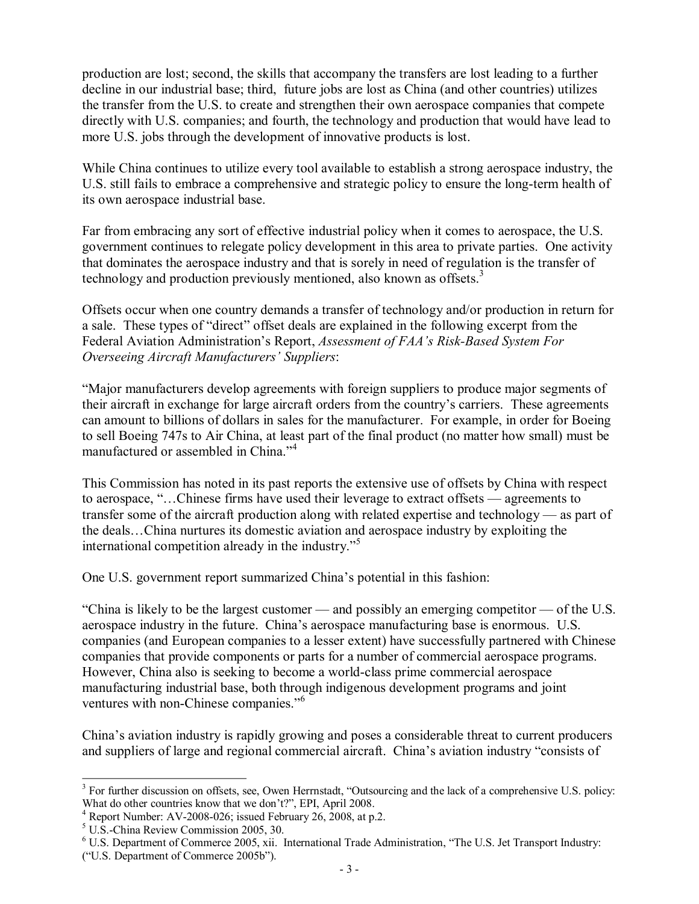production are lost; second, the skills that accompany the transfers are lost leading to a further decline in our industrial base; third, future jobs are lost as China (and other countries) utilizes the transfer from the U.S. to create and strengthen their own aerospace companies that compete directly with U.S. companies; and fourth, the technology and production that would have lead to more U.S. jobs through the development of innovative products is lost.

While China continues to utilize every tool available to establish a strong aerospace industry, the U.S. still fails to embrace a comprehensive and strategic policy to ensure the long-term health of its own aerospace industrial base.

Far from embracing any sort of effective industrial policy when it comes to aerospace, the U.S. government continues to relegate policy development in this area to private parties. One activity that dominates the aerospace industry and that is sorely in need of regulation is the transfer of technology and production previously mentioned, also known as offsets.<sup>3</sup>

Offsets occur when one country demands a transfer of technology and/or production in return for a sale. These types of "direct" offset deals are explained in the following excerpt from the Federal Aviation Administration's Report, *Assessment of FAA's Risk-Based System For Overseeing Aircraft Manufacturers' Suppliers*:

"Major manufacturers develop agreements with foreign suppliers to produce major segments of their aircraft in exchange for large aircraft orders from the country's carriers. These agreements can amount to billions of dollars in sales for the manufacturer. For example, in order for Boeing to sell Boeing 747s to Air China, at least part of the final product (no matter how small) must be manufactured or assembled in China."<sup>4</sup>

This Commission has noted in its past reports the extensive use of offsets by China with respect to aerospace, "…Chinese firms have used their leverage to extract offsets — agreements to transfer some of the aircraft production along with related expertise and technology — as part of the deals…China nurtures its domestic aviation and aerospace industry by exploiting the international competition already in the industry. $15$ 

One U.S. government report summarized China's potential in this fashion:

"China is likely to be the largest customer — and possibly an emerging competitor — of the U.S. aerospace industry in the future. China's aerospace manufacturing base is enormous. U.S. companies (and European companies to a lesser extent) have successfully partnered with Chinese companies that provide components or parts for a number of commercial aerospace programs. However, China also is seeking to become a world-class prime commercial aerospace manufacturing industrial base, both through indigenous development programs and joint ventures with non-Chinese companies."<sup>6</sup>

China's aviation industry is rapidly growing and poses a considerable threat to current producers and suppliers of large and regional commercial aircraft. China's aviation industry "consists of

 $3$  For further discussion on offsets, see, Owen Herrnstadt, "Outsourcing and the lack of a comprehensive U.S. policy: What do other countries know that we don't?", EPI, April 2008.

<sup>&</sup>lt;sup>4</sup> Report Number: AV-2008-026; issued February 26, 2008, at p.2.<br><sup>5</sup> U.S.-China Review Commission 2005, 30.<br><sup>6</sup> U.S. Department of Commerce 2005, xii. International Trade Administration, "The U.S. Jet Transport Industry: ("U.S. Department of Commerce 2005b").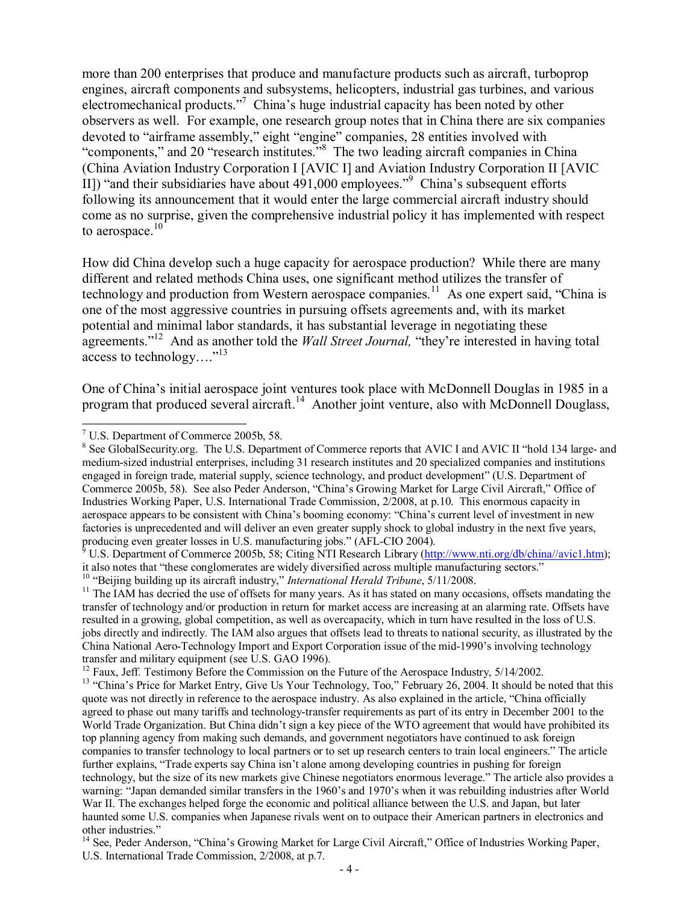more than 200 enterprises that produce and manufacture products such as aircraft, turboprop engines, aircraft components and subsystems, helicopters, industrial gas turbines, and various electromechanical products."<sup>7</sup> China's huge industrial capacity has been noted by other observers as well. For example, one research group notes that in China there are six companies devoted to "airframe assembly," eight "engine" companies, 28 entities involved with "components," and 20 "research institutes."<sup>8</sup> The two leading aircraft companies in China (China Aviation Industry Corporation I[AVIC I] and Aviation Industry Corporation II [AVIC II]) "and their subsidiaries have about  $491,000$  employees." China's subsequent efforts following its announcement that it would enter the large commercial aircraft industry should come as no surprise, given the comprehensive industrial policy it has implemented with respect to aerospace. $10$ 

How did China develop such a huge capacity for aerospace production? While there are many different and related methods China uses, one significant method utilizes the transfer of technology and production from Western aerospace companies.<sup>11</sup> As one expert said, "China is one of the most aggressive countries in pursuing offsets agreements and, with its market potential and minimal labor standards, it has substantial leverage in negotiating these agreements."<sup>12</sup> And as another told the *Wall Street Journal*, "they're interested in having total access to technology...."<sup>13</sup>

One of China's initial aerospace joint ventures took place with McDonnell Douglas in 1985 in a program that produced several aircraft.<sup>14</sup> Another joint venture, also with McDonnell Douglass,

<sup>&</sup>lt;sup>7</sup> U.S. Department of Commerce 2005b, 58.<br><sup>8</sup> See GlobalSecurity.org. The U.S. Department of Commerce reports that AVIC I and AVIC II "hold 134 large- and mediumsized industrial enterprises, including 31 research institutes and 20 specialized companies and institutions engaged in foreign trade, material supply, science technology, and product development" (U.S. Department of Commerce 2005b, 58). See also Peder Anderson, "China's Growing Market for Large Civil Aircraft," Office of Industries Working Paper, U.S. International Trade Commission, 2/2008, at p.10. This enormous capacity in aerospace appears to be consistent with China's booming economy: "China's current level of investment in new factories is unprecedented and will deliver an even greater supply shock to global industry in the next five years, producing even greater losses in U.S. manufacturing jobs." (AFL-CIO 2004).

<sup>&</sup>lt;sup>9</sup> U.S. Department of Commerce 2005b, 58; Citing NTI Research Library ([http://www.nti.org/db/china//avic1.htm\)](http://www.nti.org/db/china//avic1.htm); it also notes that "these conglomerates are widely diversified across multiple manufacturing sectors."<br><sup>10</sup> "Beijing building up its aircraft industry," *International Herald Tribune*, 5/11/2008.

<sup>&</sup>lt;sup>11</sup> The IAM has decried the use of offsets for many years. As it has stated on many occasions, offsets mandating the transfer of technology and/or production in return for market access are increasing at an alarming rate. Offsets have resulted in a growing, global competition, as well as overcapacity, which in turn have resulted in the loss of U.S. jobs directly and indirectly. The IAM also argues that offsets lead to threats to national security, as illustrated by the China National Aero-Technology Import and Export Corporation issue of the mid-1990's involving technology transfer and military equipment (see U.S. GAO 1996).

<sup>&</sup>lt;sup>12</sup> Faux, Jeff. Testimony Before the Commission on the Future of the Aerospace Industry,  $5/14/2002$ .<br><sup>13</sup> "China's Price for Market Entry, Give Us Your Technology, Too," February 26, 2004. It should be noted that this quote was not directly in reference to the aerospace industry. As also explained in the article, "China officially agreed to phase out many tariffs and technology-transfer requirements as part of its entry in December 2001 to the World Trade Organization. But China didn't sign a key piece of the WTO agreement that would have prohibited its top planning agency from making such demands, and government negotiators have continued to ask foreign companies to transfer technology to local partners or to set up research centers to train local engineers." The article further explains, "Trade experts say China isn't alone among developing countries in pushing for foreign technology, but the size of its new markets give Chinese negotiators enormous leverage." The article also provides a warning: "Japan demanded similar transfers in the 1960's and 1970's when it was rebuilding industries after World War II. The exchanges helped forge the economic and political alliance between the U.S. and Japan, but later haunted some U.S. companies when Japanese rivals went on to outpace their American partners in electronics and other industries."

<sup>&</sup>lt;sup>14</sup> See, Peder Anderson, "China's Growing Market for Large Civil Aircraft," Office of Industries Working Paper, U.S. International Trade Commission, 2/2008, at p.7.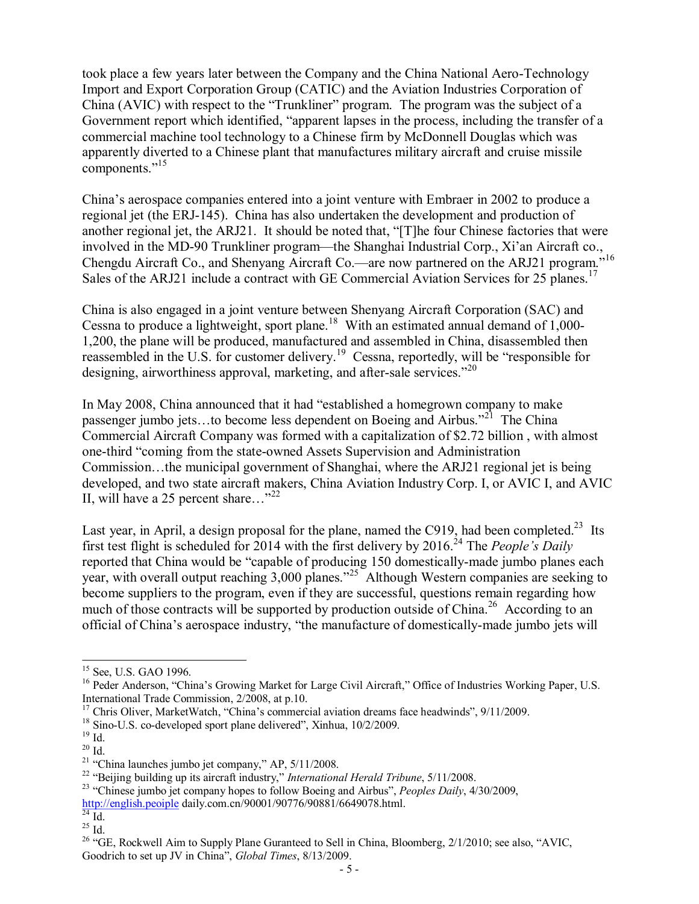took place a few years later between the Company and the China National Aero-Technology Import and Export Corporation Group (CATIC) and the Aviation Industries Corporation of China (AVIC) with respect to the "Trunkliner" program. The program was the subject of a Government report which identified, "apparent lapses in the process, including the transfer of a commercial machine tool technology to a Chinese firm by McDonnell Douglas which was apparently diverted to a Chinese plant that manufactures military aircraft and cruise missile components."<sup>15</sup>

China's aerospace companies entered into a joint venture with Embraer in 2002 to produce a regional jet (the ERJ-145). China has also undertaken the development and production of another regional jet, the ARJ21. It should be noted that, "[T]he four Chinese factories that were involved in the MD-90 Trunkliner program—the Shanghai Industrial Corp., Xi'an Aircraft co., Chengdu Aircraft Co., and Shenyang Aircraft Co.—are now partnered on the ARJ21 program."<sup>16</sup> Sales of the ARJ21 include a contract with GE Commercial Aviation Services for 25 planes.<sup>17</sup>

China is also engaged in a joint venture between Shenyang Aircraft Corporation (SAC) and Cessna to produce a lightweight, sport plane.<sup>18</sup> With an estimated annual demand of 1,000-1,200, the plane will be produced, manufactured and assembled in China, disassembled then reassembled in the U.S. for customer delivery.<sup>19</sup> Cessna, reportedly, will be "responsible for designing, airworthiness approval, marketing, and after-sale services."  $20$ 

In May 2008, China announced that it had "established a homegrown company to make passenger jumbo jets...to become less dependent on Boeing and Airbus."<sup>21</sup> The China Commercial Aircraft Company was formed with a capitalization of \$2.72 billion , with almost one-third "coming from the state-owned Assets Supervision and Administration Commission…the municipal government of Shanghai, where the ARJ21 regional jet is being developed, and two state aircraft makers, China Aviation Industry Corp. I, or AVIC I, and AVIC II, will have a 25 percent share..."<sup>22</sup>

Last year, in April, a design proposal for the plane, named the C919, had been completed.<sup>23</sup> Its first test flight is scheduled for 2014 with the first delivery by 2016.<sup>24</sup> The *People's Daily* reported that China would be "capable of producing 150 domestically-made jumbo planes each year, with overall output reaching 3,000 planes."<sup>25</sup> Although Western companies are seeking to become suppliers to the program, even if they are successful, questions remain regarding how much of those contracts will be supported by production outside of China.<sup>26</sup> According to an official of China's aerospace industry, "the manufacture of domesticallymade jumbo jets will

<sup>&</sup>lt;sup>15</sup> See, U.S. GAO 1996.<br><sup>16</sup> Peder Anderson, "China's Growing Market for Large Civil Aircraft," Office of Industries Working Paper, U.S.<br>International Trade Commission, 2/2008, at p.10.

<sup>&</sup>lt;sup>17</sup> Chris Oliver, MarketWatch, "China's commercial aviation dreams face headwinds", 9/11/2009.<br><sup>18</sup> Sino-U.S. co-developed sport plane delivered", Xinhua, 10/2/2009.<br><sup>19</sup> Id.<br><sup>21</sup> "China launches jumbo jet company," AP,

[http://english.peoiple](http://english.peoiple/) daily.com.cn/90001/90776/90881/6649078.html.<br>
<sup>25</sup> Id. <sup>25</sup> Id. <sup>26</sup> "GE, Rockwell Aim to Supply Plane Guranteed to Sell in China, Bloomberg, 2/1/2010; see also, "AVIC, Goodrich to set up JV in China", *Global Times*, 8/13/2009.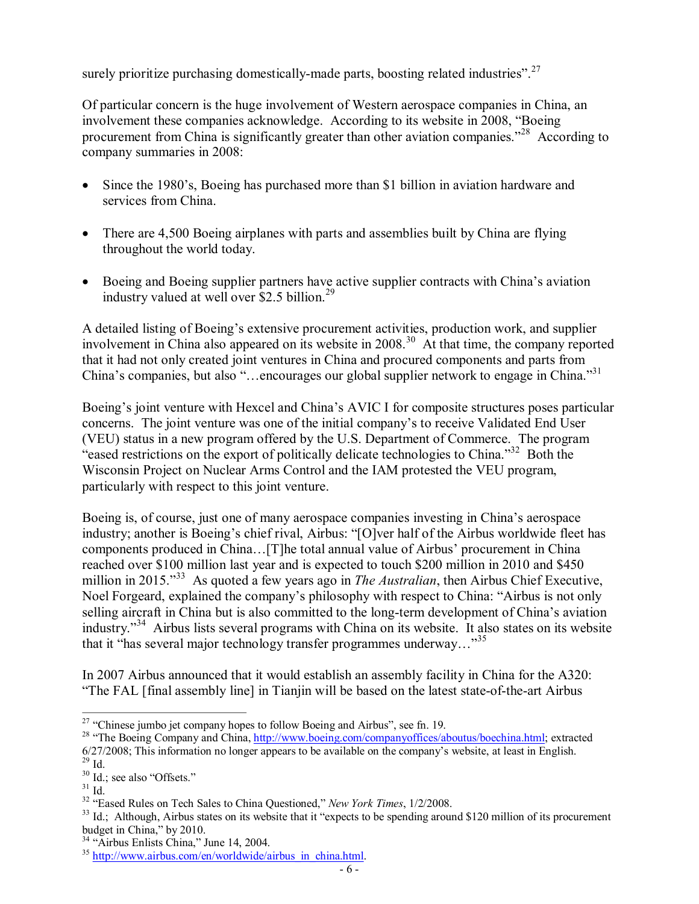surely prioritize purchasing domestically-made parts, boosting related industries".  $27$ 

Of particular concern is the huge involvement of Western aerospace companies in China, an involvement these companies acknowledge. According to its website in 2008, "Boeing procurement from China is significantly greater than other aviation companies."<sup>28</sup> According to company summaries in 2008:

- Since the 1980's, Boeing has purchased more than \$1 billion in aviation hardware and services from China.
- · There are 4,500 Boeing airplanes with parts and assemblies built by China are flying throughout the world today.
- · Boeing and Boeing supplier partners have active supplier contracts with China's aviation industry valued at well over \$2.5 billion.<sup>29</sup>

A detailed listing of Boeing's extensive procurement activities, production work, and supplier involvement in China also appeared on its website in 2008.<sup>30</sup> At that time, the company reported that it had not only created joint ventures in China and procured components and parts from China's companies, but also "...encourages our global supplier network to engage in China."<sup>31</sup>

Boeing's joint venture with Hexcel and China's AVIC I for composite structures poses particular concerns. The joint venture was one of the initial company's to receive Validated End User (VEU) status in a new program offered by the U.S. Department of Commerce. The program "eased restrictions on the export of politically delicate technologies to China."<sup>32</sup> Both the Wisconsin Project on Nuclear Arms Control and the IAM protested the VEU program, particularly with respect to this joint venture.

Boeing is, of course, just one of many aerospace companies investing in China's aerospace industry; another is Boeing's chief rival, Airbus: "[O]ver half of the Airbus worldwide fleet has components produced in China…[T]he total annual value of Airbus' procurement in China reached over \$100 million last year and is expected to touch \$200 million in 2010 and \$450 million in 2015."<sup>33</sup> As quoted a few years ago in *The Australian*, then Airbus Chief Executive, Noel Forgeard, explained the company's philosophy with respect to China: "Airbus is not only selling aircraft in China but is also committed to the long-term development of China's aviation industry."<sup>34</sup> Airbus lists several programs with China on its website. It also states on its website that it "has several major technology transfer programmes underway..."<sup>35</sup>

In 2007 Airbus announced that it would establish an assembly facility in China for the A320: "The FAL [final assembly line] in Tianjin will be based on the latest state-of-the-art Airbus

<sup>&</sup>lt;sup>27</sup> "Chinese jumbo jet company hopes to follow Boeing and Airbus", see fn. 19.<br><sup>28</sup> "The Boeing Company and China,  $\frac{http://www.boeing.com/companyoffices/aboutus/boechina.html}{http://www.boeing.com/companyoffices/aboutus/boechina.html}$  $\frac{http://www.boeing.com/companyoffices/aboutus/boechina.html}{http://www.boeing.com/companyoffices/aboutus/boechina.html}$  $\frac{http://www.boeing.com/companyoffices/aboutus/boechina.html}{http://www.boeing.com/companyoffices/aboutus/boechina.html}$ ; extracted  $6/27/2008$ ; This information no longer appears to be available on the company's website, at least in English.  $^{29}$  Id.

<sup>30</sup> Id.; see also "Offsets."

 $31$  Id.

<sup>32</sup> "Eased Rules on Tech Sales to China Questioned," *New York Times*, 1/2/2008.

 $33$  Id.; Although, Airbus states on its website that it "expects to be spending around \$120 million of its procurement budget in China," by 2010.<br><sup>34</sup> "Airbus Enlists China," June 14, 2004.

 $35$  [http://www.airbus.com/en/worldwide/airbus\\_in\\_china.html.](http://www.airbus.com/en/worldwide/airbus_in_china.html)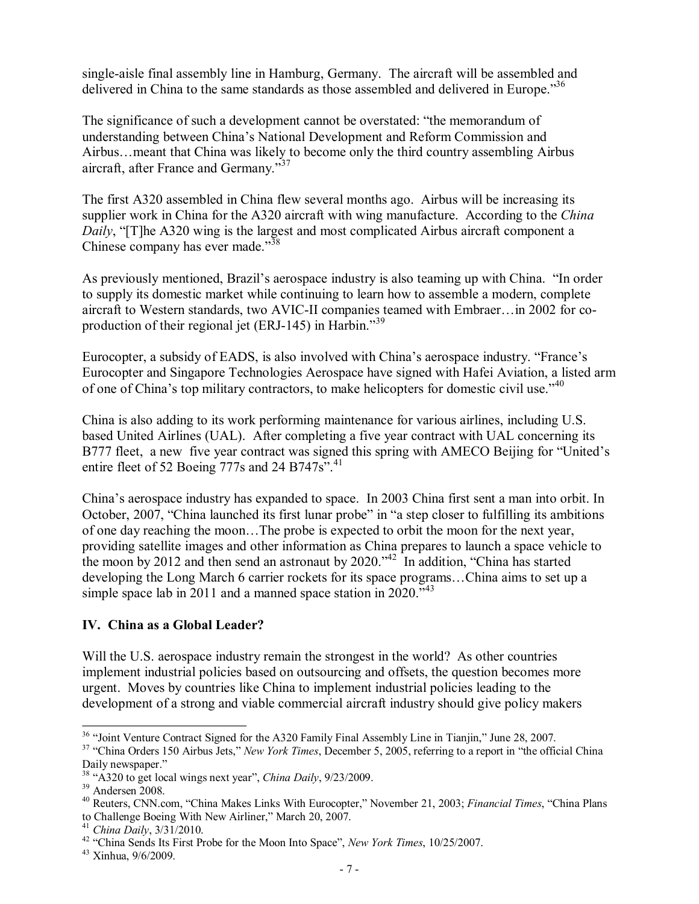single-aisle final assembly line in Hamburg, Germany. The aircraft will be assembled and delivered in China to the same standards as those assembled and delivered in Europe.<sup>36</sup>

The significance of such a development cannot be overstated: "the memorandum of understanding between China's National Development and Reform Commission and Airbus…meant that China was likely to become only the third country assembling Airbus aircraft, after France and Germany."<sup>37</sup>

The first A320 assembled in China flew several months ago. Airbus will be increasing its supplier work in China for the A320 aircraft with wing manufacture. According to the *China Daily*, "[T]he A320 wing is the largest and most complicated Airbus aircraft component a Chinese company has ever made."<sup>38</sup>

As previously mentioned, Brazil's aerospace industry is also teaming up with China. "In order to supply its domestic market while continuing to learn how to assemble a modern, complete aircraft to Western standards, two AVIC-II companies teamed with Embraer…in 2002 for coproduction of their regional jet (ERJ-145) in Harbin."  $39$ 

Eurocopter, a subsidy of EADS, is also involved with China's aerospace industry. "France's Eurocopter and Singapore Technologies Aerospace have signed with Hafei Aviation, a listed arm of one of China's top military contractors, to make helicopters for domestic civil use."<sup>40</sup>

China is also adding to its work performing maintenance for various airlines, including U.S. based United Airlines (UAL). After completing a five year contract with UAL concerning its B777 fleet, a new five year contract was signed this spring with AMECO Beijing for "United's entire fleet of 52 Boeing 777s and 24 B747s".<sup>41</sup>

China's aerospace industry has expanded to space. In 2003 China first sent a man into orbit. In October, 2007, "China launched its first lunar probe" in "a step closer to fulfilling its ambitions of one day reaching the moon…The probe is expected to orbit the moon for the next year, providing satellite images and other information as China prepares to launch a space vehicle to the moon by 2012 and then send an astronaut by 2020."  $42 \text{ In addition, "China has started}$ developing the Long March 6 carrier rockets for its space programs…China aims to set up a simple space lab in 2011 and a manned space station in 2020.<sup> $343$ </sup>

# **IV. China as a Global Leader?**

Will the U.S. aerospace industry remain the strongest in the world? As other countries implement industrial policies based on outsourcing and offsets, the question becomes more urgent. Moves by countries like China to implement industrial policies leading to the development of a strong and viable commercial aircraft industry should give policy makers

<sup>&</sup>lt;sup>36</sup> "Joint Venture Contract Signed for the A320 Family Final Assembly Line in Tianjin," June 28, 2007.<br><sup>37</sup> "China Orders 150 Airbus Jets," *New York Times*, December 5, 2005, referring to a report in "the official China Daily newspaper."

<sup>&</sup>lt;sup>38</sup> "A320 to get local wings next year", *China Daily*, 9/23/2009.<br><sup>39</sup> Andersen 2008.

<sup>&</sup>lt;sup>40</sup> Reuters, CNN.com, "China Makes Links With Eurocopter," November 21, 2003; *Financial Times*, "China Plans to Challenge Boeing With New Airliner," March 20, 2007.

<sup>&</sup>lt;sup>41</sup> China Daily, 3/31/2010.<br><sup>42</sup> "China Sends Its First Probe for the Moon Into Space", *New York Times*, 10/25/2007.<br><sup>43</sup> Xinhua, 9/6/2009.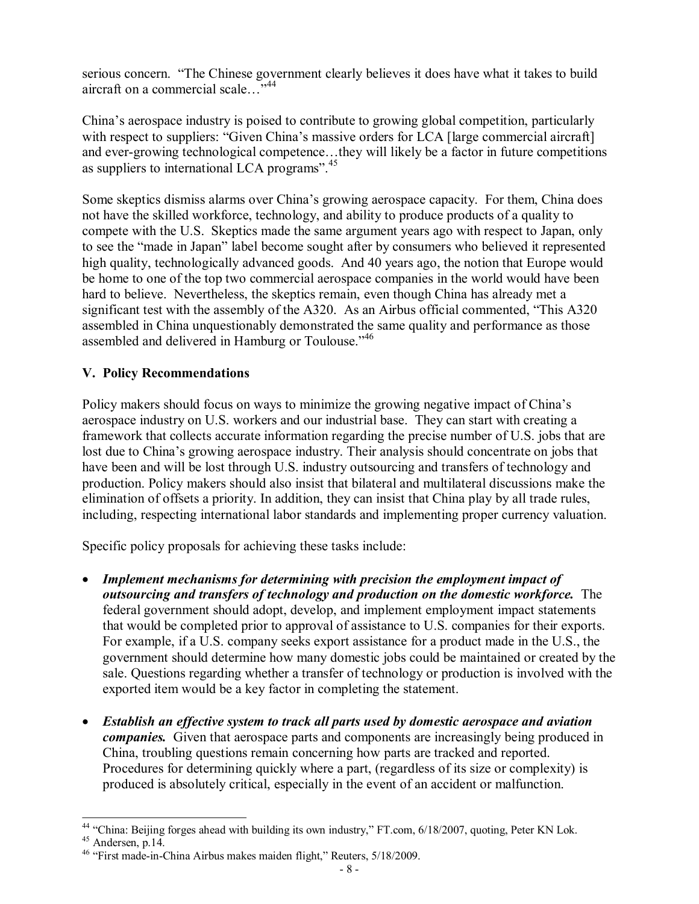serious concern. "The Chinese government clearly believes it does have what it takes to build aircraft on a commercial scale. ... 44

China's aerospace industry is poised to contribute to growing global competition, particularly with respect to suppliers: "Given China's massive orders for LCA [large commercial aircraft] and ever-growing technological competence...they will likely be a factor in future competitions as suppliers to international LCA programs". <sup>45</sup>

Some skeptics dismiss alarms over China's growing aerospace capacity. For them, China does not have the skilled workforce, technology, and ability to produce products of a quality to compete with the U.S. Skeptics made the same argument years ago with respect to Japan, only to see the "made in Japan" label become sought after by consumers who believed it represented high quality, technologically advanced goods. And 40 years ago, the notion that Europe would be home to one of the top two commercial aerospace companies in the world would have been hard to believe. Nevertheless, the skeptics remain, even though China has already met a significant test with the assembly of the A320. As an Airbus official commented, "This A320 assembled in China unquestionably demonstrated the same quality and performance as those assembled and delivered in Hamburg or Toulouse."<sup>46</sup>

# **V. Policy Recommendations**

Policy makers should focus on ways to minimize the growing negative impact of China's aerospace industry on U.S. workers and our industrial base. They can start with creating a framework that collects accurate information regarding the precise number of U.S. jobs that are lost due to China's growing aerospace industry. Their analysis should concentrate on jobs that have been and will be lost through U.S. industry outsourcing and transfers of technology and production. Policy makers should also insist that bilateral and multilateral discussions make the elimination of offsets a priority. In addition, they can insist that China play by all trade rules, including, respecting international labor standards and implementing proper currency valuation.

Specific policy proposals for achieving these tasks include:

- · *Implement mechanisms for determining with precision the employment impact of outsourcing and transfers of technology and production on the domestic workforce.* The federal government should adopt, develop, and implement employment impact statements that would be completed prior to approval of assistance to U.S. companies for their exports. For example, if a U.S. company seeks export assistance for a product made in the U.S., the government should determine how many domestic jobs could be maintained or created by the sale. Questions regarding whether a transfer of technology or production is involved with the exported item would be a key factor in completing the statement.
- · *Establish an effective system to track all parts used by domestic aerospace and aviation companies.* Given that aerospace parts and components are increasingly being produced in China, troubling questions remain concerning how parts are tracked and reported. Procedures for determining quickly where a part, (regardless of its size or complexity) is produced is absolutely critical, especially in the event of an accident or malfunction.

<sup>&</sup>lt;sup>44</sup> "China: Beijing forges ahead with building its own industry," FT.com, 6/18/2007, quoting, Peter KN Lok.<br><sup>45</sup> Andersen, p.14.<br><sup>46</sup> "First made-in-China Airbus makes maiden flight," Reuters, 5/18/2009.